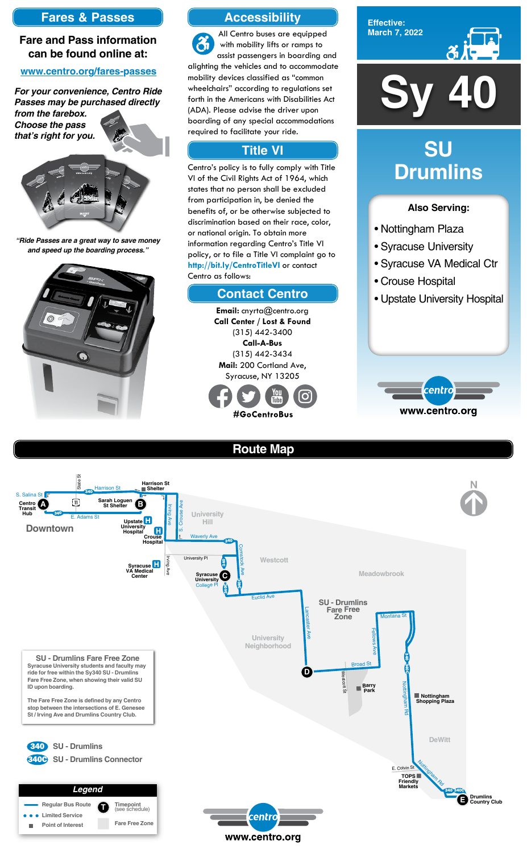

**Effective: March 7, 2022**



### **Also Serving:**

- Nottingham Plaza
- Syracuse University
- Syracuse VA Medical Ctr
- Crouse Hospital
- Upstate University Hospital



# **SU Drumlins**





## **Route Map**





**Email:** cnyrta@centro.org **Call Center / Lost & Found** (315) 442-3400 **Call-A-Bus** (315) 442-3434 **Mail:** 200 Cortland Ave, Syracuse, NY 13205



## **Accessibility**

### **Contact Centro**

## **Title VI**

All Centro buses are equipped  $\mathfrak{F}$ with mobility lifts or ramps to assist passengers in boarding and alighting the vehicles and to accommodate mobility devices classified as "common wheelchairs" according to regulations set forth in the Americans with Disabilities Act (ADA). Please advise the driver upon boarding of any special accommodations required to facilitate your ride.

Centro's policy is to fully comply with Title VI of the Civil Rights Act of 1964, which states that no person shall be excluded from participation in, be denied the benefits of, or be otherwise subjected to discrimination based on their race, color, or national origin. To obtain more information regarding Centro's Title VI policy, or to file a Title VI complaint go to **http://bit.ly/CentroTitleVI** or contact Centro as follows:

## **Fares & Passes**

### **Fare and Pass information can be found online at:**

### **www.centro.org/fares-passes**

*"Ride Passes are a great way to save money and speed up the boarding process."*



*For your convenience, Centro Ride Passes may be purchased directly* 

*from the farebox. Choose the pass that's right for you.*